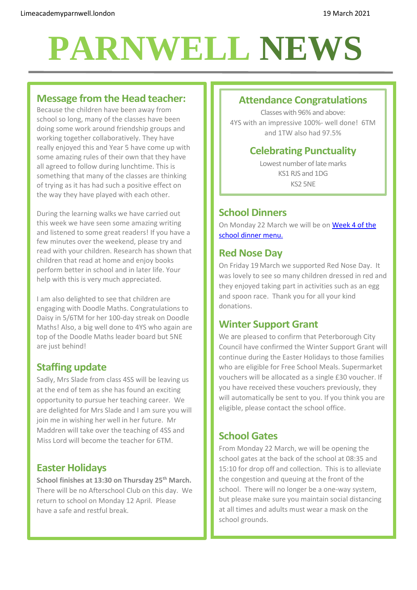# **PARNWELL NEWS**

## **Message from the Head teacher:**

Because the children have been away from school so long, many of the classes have been doing some work around friendship groups and working together collaboratively. They have really enjoyed this and Year 5 have come up with some amazing rules of their own that they have all agreed to follow during lunchtime. This is something that many of the classes are thinking of trying as it has had such a positive effect on the way they have played with each other.

During the learning walks we have carried out this week we have seen some amazing writing and listened to some great readers! If you have a few minutes over the weekend, please try and read with your children. Research has shown that children that read at home and enjoy books perform better in school and in later life. Your help with this is very much appreciated.

I am also delighted to see that children are engaging with Doodle Maths. Congratulations to Daisy in 5/6TM for her 100-day streak on Doodle Maths! Also, a big well done to 4YS who again are top of the Doodle Maths leader board but 5NE are just behind!

# **Staffing update**

Sadly, Mrs Slade from class 4SS will be leaving us at the end of tem as she has found an exciting opportunity to pursue her teaching career. We are delighted for Mrs Slade and I am sure you will join me in wishing her well in her future. Mr Maddren will take over the teaching of 4SS and Miss Lord will become the teacher for 6TM.

# **Easter Holidays**

**School finishes at 13:30 on Thursday 25th March.**  There will be no Afterschool Club on this day. We return to school on Monday 12 April. Please have a safe and restful break.

## **Attendance Congratulations**

Classes with 96% and above: 4YS with an impressive 100%- well done! 6TM and 1TW also had 97.5%

# **Celebrating Punctuality**

Lowest number of late marks KS1 RJS and 1DG KS2 5NE

#### **School Dinners**

On Monday 22 March we will be on [Week 4](http://limeacademyparnwell.org/media/3932/dinner-menu-2020-09-18.pdf) of the [school dinner menu.](http://limeacademyparnwell.org/media/3932/dinner-menu-2020-09-18.pdf)

### **Red Nose Day**

On Friday 19 March we supported Red Nose Day. It was lovely to see so many children dressed in red and they enjoyed taking part in activities such as an egg and spoon race. Thank you for all your kind donations.

## **Winter Support Grant**

We are pleased to confirm that Peterborough City Council have confirmed the Winter Support Grant will continue during the Easter Holidays to those families who are eligible for Free School Meals. Supermarket vouchers will be allocated as a single £30 voucher. If you have received these vouchers previously, they will automatically be sent to you. If you think you are eligible, please contact the school office.

# **School Gates**

From Monday 22 March, we will be opening the school gates at the back of the school at 08:35 and 15:10 for drop off and collection. This is to alleviate the congestion and queuing at the front of the school. There will no longer be a one-way system, but please make sure you maintain social distancing at all times and adults must wear a mask on the school grounds.